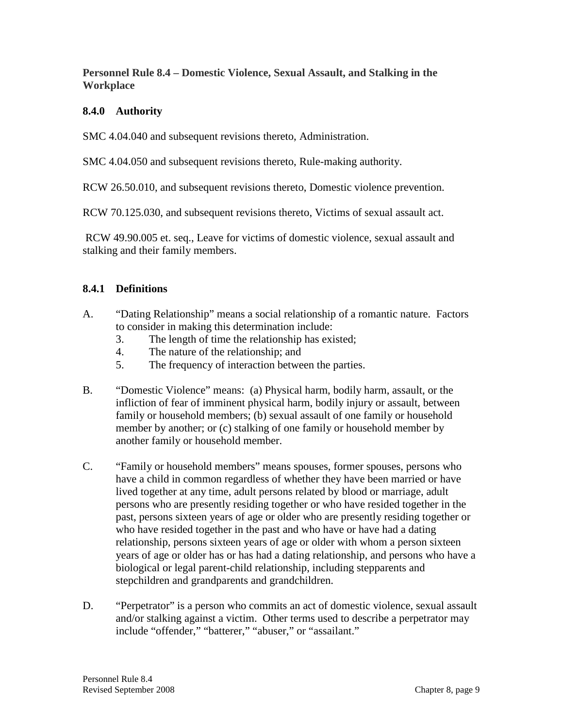**Personnel Rule 8.4 – Domestic Violence, Sexual Assault, and Stalking in the Workplace**

## **8.4.0 Authority**

SMC 4.04.040 and subsequent revisions thereto, Administration.

SMC 4.04.050 and subsequent revisions thereto, Rule-making authority.

RCW 26.50.010, and subsequent revisions thereto, Domestic violence prevention.

RCW 70.125.030, and subsequent revisions thereto, Victims of sexual assault act.

RCW 49.90.005 et. seq., Leave for victims of domestic violence, sexual assault and stalking and their family members.

### **8.4.1 Definitions**

- A. "Dating Relationship" means a social relationship of a romantic nature. Factors to consider in making this determination include:
	- 3. The length of time the relationship has existed;
	- 4. The nature of the relationship; and
	- 5. The frequency of interaction between the parties.
- B. "Domestic Violence" means: (a) Physical harm, bodily harm, assault, or the infliction of fear of imminent physical harm, bodily injury or assault, between family or household members; (b) sexual assault of one family or household member by another; or (c) stalking of one family or household member by another family or household member.
- C. "Family or household members" means spouses, former spouses, persons who have a child in common regardless of whether they have been married or have lived together at any time, adult persons related by blood or marriage, adult persons who are presently residing together or who have resided together in the past, persons sixteen years of age or older who are presently residing together or who have resided together in the past and who have or have had a dating relationship, persons sixteen years of age or older with whom a person sixteen years of age or older has or has had a dating relationship, and persons who have a biological or legal parent-child relationship, including stepparents and stepchildren and grandparents and grandchildren.
- D. "Perpetrator" is a person who commits an act of domestic violence, sexual assault and/or stalking against a victim. Other terms used to describe a perpetrator may include "offender," "batterer," "abuser," or "assailant."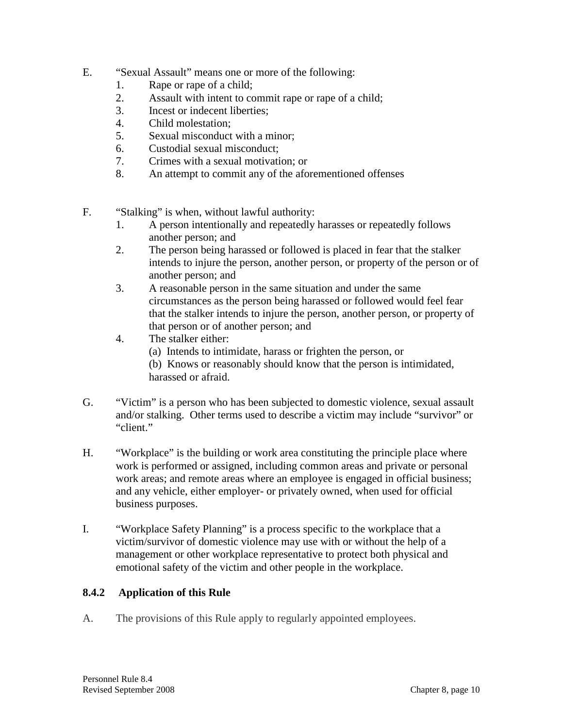- E. "Sexual Assault" means one or more of the following:
	- 1. Rape or rape of a child;
	- 2. Assault with intent to commit rape or rape of a child;
	- 3. Incest or indecent liberties;
	- 4. Child molestation;
	- 5. Sexual misconduct with a minor;
	- 6. Custodial sexual misconduct;
	- 7. Crimes with a sexual motivation; or
	- 8. An attempt to commit any of the aforementioned offenses
- F. "Stalking" is when, without lawful authority:
	- 1. A person intentionally and repeatedly harasses or repeatedly follows another person; and
	- 2. The person being harassed or followed is placed in fear that the stalker intends to injure the person, another person, or property of the person or of another person; and
	- 3. A reasonable person in the same situation and under the same circumstances as the person being harassed or followed would feel fear that the stalker intends to injure the person, another person, or property of that person or of another person; and
	- 4. The stalker either:
		- (a) Intends to intimidate, harass or frighten the person, or
		- (b) Knows or reasonably should know that the person is intimidated, harassed or afraid.
- G. "Victim" is a person who has been subjected to domestic violence, sexual assault and/or stalking. Other terms used to describe a victim may include "survivor" or "client."
- H. "Workplace" is the building or work area constituting the principle place where work is performed or assigned, including common areas and private or personal work areas; and remote areas where an employee is engaged in official business; and any vehicle, either employer- or privately owned, when used for official business purposes.
- I. "Workplace Safety Planning" is a process specific to the workplace that a victim/survivor of domestic violence may use with or without the help of a management or other workplace representative to protect both physical and emotional safety of the victim and other people in the workplace.

## **8.4.2 Application of this Rule**

A. The provisions of this Rule apply to regularly appointed employees.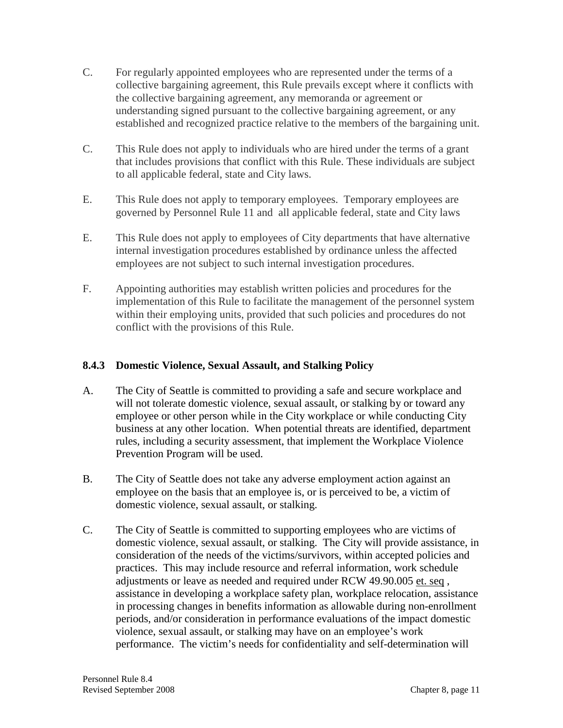- C. For regularly appointed employees who are represented under the terms of a collective bargaining agreement, this Rule prevails except where it conflicts with the collective bargaining agreement, any memoranda or agreement or understanding signed pursuant to the collective bargaining agreement, or any established and recognized practice relative to the members of the bargaining unit.
- C. This Rule does not apply to individuals who are hired under the terms of a grant that includes provisions that conflict with this Rule. These individuals are subject to all applicable federal, state and City laws.
- E. This Rule does not apply to temporary employees. Temporary employees are governed by Personnel Rule 11 and all applicable federal, state and City laws
- E. This Rule does not apply to employees of City departments that have alternative internal investigation procedures established by ordinance unless the affected employees are not subject to such internal investigation procedures.
- F. Appointing authorities may establish written policies and procedures for the implementation of this Rule to facilitate the management of the personnel system within their employing units, provided that such policies and procedures do not conflict with the provisions of this Rule.

# **8.4.3 Domestic Violence, Sexual Assault, and Stalking Policy**

- A. The City of Seattle is committed to providing a safe and secure workplace and will not tolerate domestic violence, sexual assault, or stalking by or toward any employee or other person while in the City workplace or while conducting City business at any other location. When potential threats are identified, department rules, including a security assessment, that implement the Workplace Violence Prevention Program will be used.
- B. The City of Seattle does not take any adverse employment action against an employee on the basis that an employee is, or is perceived to be, a victim of domestic violence, sexual assault, or stalking.
- C. The City of Seattle is committed to supporting employees who are victims of domestic violence, sexual assault, or stalking. The City will provide assistance, in consideration of the needs of the victims/survivors, within accepted policies and practices. This may include resource and referral information, work schedule adjustments or leave as needed and required under RCW 49.90.005 et. seq, assistance in developing a workplace safety plan, workplace relocation, assistance in processing changes in benefits information as allowable during non-enrollment periods, and/or consideration in performance evaluations of the impact domestic violence, sexual assault, or stalking may have on an employee's work performance. The victim's needs for confidentiality and self-determination will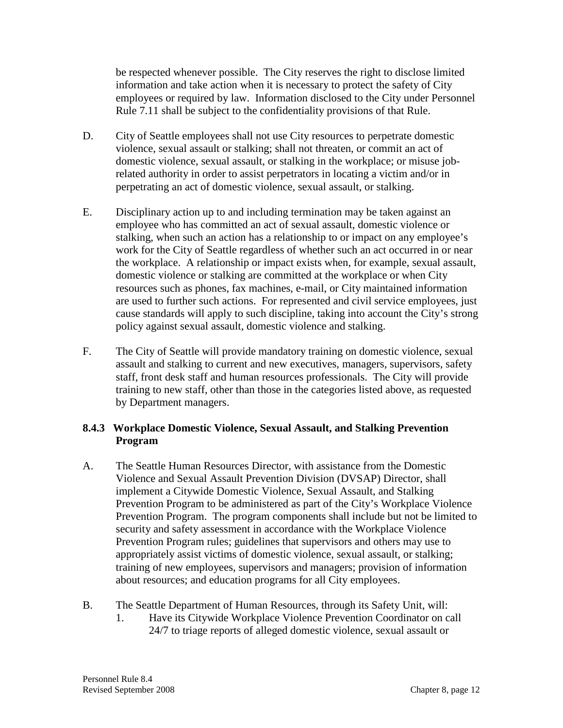be respected whenever possible. The City reserves the right to disclose limited information and take action when it is necessary to protect the safety of City employees or required by law. Information disclosed to the City under Personnel Rule 7.11 shall be subject to the confidentiality provisions of that Rule.

- D. City of Seattle employees shall not use City resources to perpetrate domestic violence, sexual assault or stalking; shall not threaten, or commit an act of domestic violence, sexual assault, or stalking in the workplace; or misuse jobrelated authority in order to assist perpetrators in locating a victim and/or in perpetrating an act of domestic violence, sexual assault, or stalking.
- E. Disciplinary action up to and including termination may be taken against an employee who has committed an act of sexual assault, domestic violence or stalking, when such an action has a relationship to or impact on any employee's work for the City of Seattle regardless of whether such an act occurred in or near the workplace. A relationship or impact exists when, for example, sexual assault, domestic violence or stalking are committed at the workplace or when City resources such as phones, fax machines, e-mail, or City maintained information are used to further such actions. For represented and civil service employees, just cause standards will apply to such discipline, taking into account the City's strong policy against sexual assault, domestic violence and stalking.
- F. The City of Seattle will provide mandatory training on domestic violence, sexual assault and stalking to current and new executives, managers, supervisors, safety staff, front desk staff and human resources professionals. The City will provide training to new staff, other than those in the categories listed above, as requested by Department managers.

## **8.4.3 Workplace Domestic Violence, Sexual Assault, and Stalking Prevention Program**

- A. The Seattle Human Resources Director, with assistance from the Domestic Violence and Sexual Assault Prevention Division (DVSAP) Director, shall implement a Citywide Domestic Violence, Sexual Assault, and Stalking Prevention Program to be administered as part of the City's Workplace Violence Prevention Program. The program components shall include but not be limited to security and safety assessment in accordance with the Workplace Violence Prevention Program rules; guidelines that supervisors and others may use to appropriately assist victims of domestic violence, sexual assault, or stalking; training of new employees, supervisors and managers; provision of information about resources; and education programs for all City employees.
- B. The Seattle Department of Human Resources, through its Safety Unit, will:
	- 1. Have its Citywide Workplace Violence Prevention Coordinator on call 24/7 to triage reports of alleged domestic violence, sexual assault or